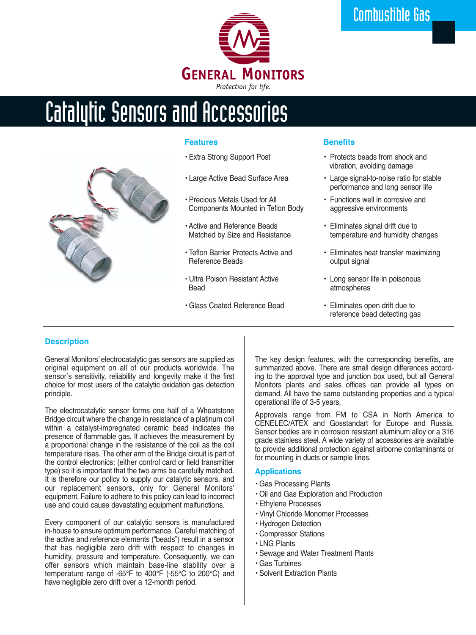

# Catalytic Sensors and Accessories



### **Features**

- Extra Strong Support Post
- Large Active Bead Surface Area
- Precious Metals Used for All Components Mounted in Teflon Body
- Active and Reference Beads Matched by Size and Resistance
- Teflon Barrier Protects Active and Reference Beads
- Ultra Poison Resistant Active **Bead**
- Glass Coated Reference Bead

### **Benefits**

- Protects beads from shock and vibration, avoiding damage
- Large signal-to-noise ratio for stable performance and long sensor life
- Functions well in corrosive and aggressive environments
- Eliminates signal drift due to temperature and humidity changes
- Eliminates heat transfer maximizing output signal
- Long sensor life in poisonous atmospheres
- Eliminates open drift due to reference bead detecting gas

### **Description**

General Monitors' electrocatalytic gas sensors are supplied as original equipment on all of our products worldwide. The sensor's sensitivity, reliability and longevity make it the first choice for most users of the catalytic oxidation gas detection principle.

The electrocatalytic sensor forms one half of a Wheatstone Bridge circuit where the change in resistance of a platinum coil within a catalyst-impregnated ceramic bead indicates the presence of flammable gas. It achieves the measurement by a proportional change in the resistance of the coil as the coil temperature rises. The other arm of the Bridge circuit is part of the control electronics; (either control card or field transmitter type) so it is important that the two arms be carefully matched. It is therefore our policy to supply our catalytic sensors, and our replacement sensors, only for General Monitors' equipment. Failure to adhere to this policy can lead to incorrect use and could cause devastating equipment malfunctions.

Every component of our catalytic sensors is manufactured in-house to ensure optimum performance. Careful matching of the active and reference elements ("beads") result in a sensor that has negligible zero drift with respect to changes in humidity, pressure and temperature. Consequently, we can offer sensors which maintain base-line stability over a temperature range of -65°F to 400°F (-55°C to 200°C) and have negligible zero drift over a 12-month period.

The key design features, with the corresponding benefits, are summarized above. There are small design differences according to the approval type and junction box used, but all General Monitors plants and sales offices can provide all types on demand. All have the same outstanding properties and a typical operational life of 3-5 years.

Approvals range from FM to CSA in North America to CENELEC/ATEX and Gosstandart for Europe and Russia. Sensor bodies are in corrosion resistant aluminum alloy or a 316 grade stainless steel. A wide variety of accessories are available to provide additional protection against airborne contaminants or for mounting in ducts or sample lines.

#### **Applications**

- Gas Processing Plants
- Oil and Gas Exploration and Production
- Ethylene Processes
- Vinyl Chloride Monomer Processes
- Hydrogen Detection
- Compressor Stations
- LNG Plants
- Sewage and Water Treatment Plants
- Gas Turbines
- Solvent Extraction Plants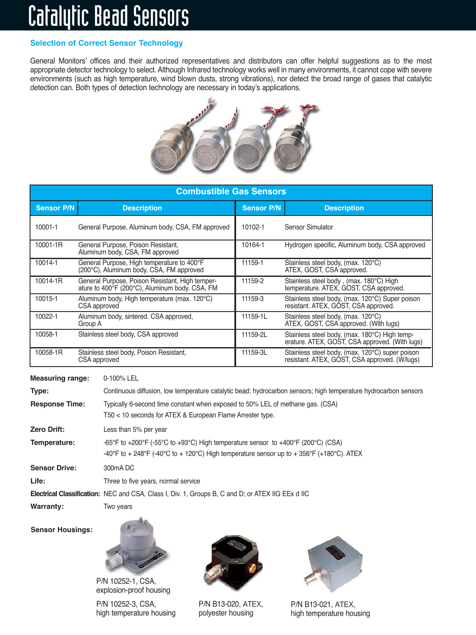# Catalytic Bead Sensors

# **Selection of Correct Sensor Technology**

General Monitors' offices and their authorized representatives and distributors can offer helpful suggestions as to the most appropriate detector technology to select. Although Infrared technology works well in many environments, it cannot cope with severe environments (such as high temperature, wind blown dusts, strong vibrations), nor detect the broad range of gases that catalytic detection can. Both types of detection technology are necessary in today's applications.



| <b>Combustible Gas Sensors</b> |                                                                                                   |                   |                                                                                                  |  |
|--------------------------------|---------------------------------------------------------------------------------------------------|-------------------|--------------------------------------------------------------------------------------------------|--|
| <b>Sensor P/N</b>              | <b>Description</b>                                                                                | <b>Sensor P/N</b> | <b>Description</b>                                                                               |  |
| 10001-1                        | General Purpose, Aluminum body, CSA, FM approved                                                  | 10102-1           | Sensor Simulator                                                                                 |  |
| 10001-1R                       | General Purpose, Poison Resistant,<br>Aluminum body, CSA, FM approved                             | 10164-1           | Hydrogen specific, Aluminum body, CSA approved                                                   |  |
| 10014-1                        | General Purpose, High temperature to 400°F<br>(200°C), Aluminum body, CSA, FM approved            | 11159-1           | Stainless steel body, (max. 120°C)<br>ATEX, GOST, CSA approved.                                  |  |
| 10014-1R                       | General Purpose, Poison Resistant, High temper-<br>ature to 400°F (200°C), Aluminum body. CSA, FM | 11159-2           | Stainless steel body, (max. 180°C) High<br>temperature. ATEX, GOST, CSA approved.                |  |
| 10015-1                        | Aluminum body, High temperature (max. 120°C)<br>CSA approved                                      | 11159-3           | Stainless steel body, (max. 120°C) Super poison<br>resistant. ATEX, GOST, CSA approved.          |  |
| 10022-1                        | Aluminum body, sintered. CSA approved,<br>Group A                                                 | 11159-1L          | Stainless steel body, (max. 120°C)<br>ATEX, GOST, CSA approved. (With lugs)                      |  |
| 10058-1                        | Stainless steel body, CSA approved                                                                | 11159-2L          | Stainless steel body, (max. 180°C) High temp-<br>erature. ATEX, GOST, CSA approved. (With lugs)  |  |
| 10058-1R                       | Stainless steel body, Poison Resistant,<br>CSA approved                                           | 11159-3L          | Stainless steel body, (max. 120°C) super poison<br>resistant. ATEX, GOST, CSA approved. (W/lugs) |  |

**Measuring range:** 0-100% LEL **Type:** Continuous diffusion, low temperature catalytic bead; hydrocarbon sensors; high temperature hydrocarbon sensors **Response Time:** Typically 6-second time constant when exposed to 50% LEL of methane gas. (CSA) T50 < 10 seconds for ATEX & European Flame Arrester type. **Zero Drift:** Less than 5% per year **Temperature:** -65°F to +200°F (-55°C to +93°C) High temperature sensor to +400°F (200°C) (CSA) -40°F to + 248°F (-40°C to + 120°C) High temperature sensor up to + 356°F (+180°C). ATEX **Sensor Drive:** 300mA DC Life: Three to five years, normal service **Electrical Classification:** NEC and CSA, Class I, Div. 1, Groups B, C and D; or ATEX IIG EEx d IIC **Warranty:** Two years

**Sensor Housings:**



P/N 10252-1, CSA, explosion-proof housing

P/N 10252-3, CSA, high temperature housing



P/N B13-020, ATEX, polyester housing



P/N B13-021, ATEX, high temperature housing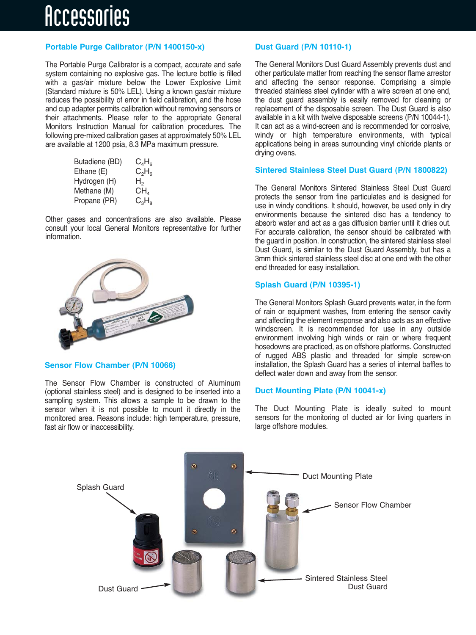# Accessories

# **Portable Purge Calibrator (P/N 1400150-x)**

The Portable Purge Calibrator is a compact, accurate and safe system containing no explosive gas. The lecture bottle is filled with a gas/air mixture below the Lower Explosive Limit (Standard mixture is 50% LEL). Using a known gas/air mixture reduces the possibility of error in field calibration, and the hose and cup adapter permits calibration without removing sensors or their attachments. Please refer to the appropriate General Monitors Instruction Manual for calibration procedures. The following pre-mixed calibration gases at approximately 50% LEL are available at 1200 psia, 8.3 MPa maximum pressure.

| Butadiene (BD) | $C_4H_6$ |
|----------------|----------|
| Ethane (E)     | $C_2H_6$ |
| Hydrogen (H)   | H,       |
| Methane (M)    | $CH_{4}$ |
| Propane (PR)   | $C_3H_8$ |

Other gases and concentrations are also available. Please consult your local General Monitors representative for further information.



### **Sensor Flow Chamber (P/N 10066)**

The Sensor Flow Chamber is constructed of Aluminum (optional stainless steel) and is designed to be inserted into a sampling system. This allows a sample to be drawn to the sensor when it is not possible to mount it directly in the monitored area. Reasons include: high temperature, pressure, fast air flow or inaccessibility.

# **Dust Guard (P/N 10110-1)**

The General Monitors Dust Guard Assembly prevents dust and other particulate matter from reaching the sensor flame arrestor and affecting the sensor response. Comprising a simple threaded stainless steel cylinder with a wire screen at one end, the dust guard assembly is easily removed for cleaning or replacement of the disposable screen. The Dust Guard is also available in a kit with twelve disposable screens (P/N 10044-1). It can act as a wind-screen and is recommended for corrosive, windy or high temperature environments, with typical applications being in areas surrounding vinyl chloride plants or drying ovens.

## **Sintered Stainless Steel Dust Guard (P/N 1800822)**

The General Monitors Sintered Stainless Steel Dust Guard protects the sensor from fine particulates and is designed for use in windy conditions. It should, however, be used only in dry environments because the sintered disc has a tendency to absorb water and act as a gas diffusion barrier until it dries out. For accurate calibration, the sensor should be calibrated with the guard in position. In construction, the sintered stainless steel Dust Guard, is similar to the Dust Guard Assembly, but has a 3mm thick sintered stainless steel disc at one end with the other end threaded for easy installation.

## **Splash Guard (P/N 10395-1)**

The General Monitors Splash Guard prevents water, in the form of rain or equipment washes, from entering the sensor cavity and affecting the element response and also acts as an effective windscreen. It is recommended for use in any outside environment involving high winds or rain or where frequent hosedowns are practiced, as on offshore platforms. Constructed of rugged ABS plastic and threaded for simple screw-on installation, the Splash Guard has a series of internal baffles to deflect water down and away from the sensor.

## **Duct Mounting Plate (P/N 10041-x)**

The Duct Mounting Plate is ideally suited to mount sensors for the monitoring of ducted air for living quarters in large offshore modules.